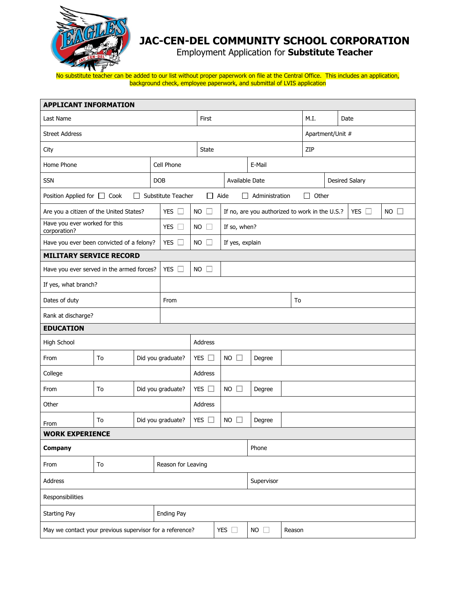

## **JAC-CEN-DEL COMMUNITY SCHOOL CORPORATION**

Employment Application for **Substitute Teacher** 

No substitute teacher can be added to our list without proper paperwork on file at the Central Office. This includes an application, background check, employee paperwork, and submittal of LVIS application

| <b>APPLICANT INFORMATION</b>                             |    |  |                      |                                      |  |                                                                                     |              |        |                       |      |  |  |
|----------------------------------------------------------|----|--|----------------------|--------------------------------------|--|-------------------------------------------------------------------------------------|--------------|--------|-----------------------|------|--|--|
| Last Name                                                |    |  |                      | First                                |  |                                                                                     |              | M.I.   |                       | Date |  |  |
| <b>Street Address</b>                                    |    |  |                      |                                      |  |                                                                                     |              |        | Apartment/Unit #      |      |  |  |
| City                                                     |    |  |                      | <b>State</b>                         |  |                                                                                     |              |        | ZIP                   |      |  |  |
| Home Phone                                               |    |  | Cell Phone           |                                      |  |                                                                                     | E-Mail       |        |                       |      |  |  |
| <b>SSN</b>                                               |    |  | <b>DOB</b>           |                                      |  | Available Date                                                                      |              |        | <b>Desired Salary</b> |      |  |  |
| Position Applied for □ Cook<br>$\Box$                    |    |  | Substitute Teacher   | $\Box$ Aide<br>$\Box$ Administration |  |                                                                                     |              |        | Other<br>$\mathsf{L}$ |      |  |  |
| Are you a citizen of the United States?                  |    |  | YES $\square$        | <b>NO</b>                            |  | YES $\Box$<br><b>NO</b><br>$\Box$<br>If no, are you authorized to work in the U.S.? |              |        |                       |      |  |  |
| Have you ever worked for this<br>corporation?            |    |  | YES $\Box$           | <b>NO</b>                            |  | If so, when?                                                                        |              |        |                       |      |  |  |
| Have you ever been convicted of a felony?                |    |  | YES $\square$        | <b>NO</b>                            |  | If yes, explain                                                                     |              |        |                       |      |  |  |
| <b>MILITARY SERVICE RECORD</b>                           |    |  |                      |                                      |  |                                                                                     |              |        |                       |      |  |  |
| Have you ever served in the armed forces?                |    |  | <b>YES</b><br>$\Box$ | <b>NO</b><br>ΓI                      |  |                                                                                     |              |        |                       |      |  |  |
| If yes, what branch?                                     |    |  |                      |                                      |  |                                                                                     |              |        |                       |      |  |  |
| Dates of duty                                            |    |  | From<br>To           |                                      |  |                                                                                     |              |        |                       |      |  |  |
| Rank at discharge?                                       |    |  |                      |                                      |  |                                                                                     |              |        |                       |      |  |  |
| <b>EDUCATION</b>                                         |    |  |                      |                                      |  |                                                                                     |              |        |                       |      |  |  |
| High School                                              |    |  |                      | Address                              |  |                                                                                     |              |        |                       |      |  |  |
| From                                                     | To |  | Did you graduate?    | YES $\square$                        |  | <b>NO</b><br>$\mathbf{1}$                                                           | Degree       |        |                       |      |  |  |
| College                                                  |    |  |                      | Address                              |  |                                                                                     |              |        |                       |      |  |  |
| From                                                     | To |  | Did you graduate?    | YES $\Box$                           |  | <b>NO</b><br>$\mathbf{L}$                                                           | Degree       |        |                       |      |  |  |
| Other                                                    |    |  |                      | <b>Address</b>                       |  |                                                                                     |              |        |                       |      |  |  |
| From                                                     | To |  | Did you graduate?    | YES $\Box$                           |  | <b>NO</b>                                                                           | Degree       |        |                       |      |  |  |
| <b>WORK EXPERIENCE</b>                                   |    |  |                      |                                      |  |                                                                                     |              |        |                       |      |  |  |
| <b>Company</b>                                           |    |  |                      |                                      |  |                                                                                     | Phone        |        |                       |      |  |  |
| From                                                     | To |  | Reason for Leaving   |                                      |  |                                                                                     |              |        |                       |      |  |  |
| Address                                                  |    |  |                      |                                      |  |                                                                                     | Supervisor   |        |                       |      |  |  |
| Responsibilities                                         |    |  |                      |                                      |  |                                                                                     |              |        |                       |      |  |  |
| <b>Starting Pay</b>                                      |    |  | <b>Ending Pay</b>    |                                      |  |                                                                                     |              |        |                       |      |  |  |
| May we contact your previous supervisor for a reference? |    |  |                      |                                      |  | YES $\square$                                                                       | $NO \square$ | Reason |                       |      |  |  |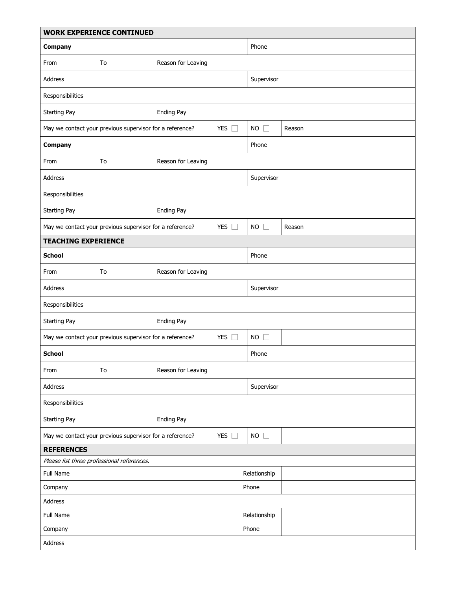| <b>WORK EXPERIENCE CONTINUED</b>                                          |                                                          |                    |               |                |              |  |  |  |
|---------------------------------------------------------------------------|----------------------------------------------------------|--------------------|---------------|----------------|--------------|--|--|--|
| Company                                                                   |                                                          |                    |               | Phone          |              |  |  |  |
| From                                                                      | To                                                       | Reason for Leaving |               |                |              |  |  |  |
| Address                                                                   |                                                          |                    |               | Supervisor     |              |  |  |  |
| Responsibilities                                                          |                                                          |                    |               |                |              |  |  |  |
| <b>Starting Pay</b>                                                       |                                                          | Ending Pay         |               |                |              |  |  |  |
|                                                                           | May we contact your previous supervisor for a reference? |                    | YES $\square$ | $NO$ $\square$ | Reason       |  |  |  |
| Company                                                                   |                                                          |                    |               | Phone          |              |  |  |  |
| From                                                                      | To                                                       | Reason for Leaving |               |                |              |  |  |  |
| Address                                                                   |                                                          | Supervisor         |               |                |              |  |  |  |
| Responsibilities                                                          |                                                          |                    |               |                |              |  |  |  |
| <b>Starting Pay</b>                                                       |                                                          | Ending Pay         |               |                |              |  |  |  |
| May we contact your previous supervisor for a reference?                  |                                                          |                    | YES $\Box$    | $NO$ $\Box$    | Reason       |  |  |  |
| <b>TEACHING EXPERIENCE</b>                                                |                                                          |                    |               |                |              |  |  |  |
| <b>School</b>                                                             |                                                          |                    |               | Phone          |              |  |  |  |
| From                                                                      | To                                                       | Reason for Leaving |               |                |              |  |  |  |
| Address                                                                   |                                                          |                    |               | Supervisor     |              |  |  |  |
| Responsibilities                                                          |                                                          |                    |               |                |              |  |  |  |
| <b>Starting Pay</b>                                                       |                                                          | Ending Pay         |               |                |              |  |  |  |
| YES $\square$<br>May we contact your previous supervisor for a reference? |                                                          |                    |               | $NO$ $\Box$    |              |  |  |  |
| <b>School</b>                                                             |                                                          |                    |               | Phone          |              |  |  |  |
| From                                                                      | To                                                       | Reason for Leaving |               |                |              |  |  |  |
| Address                                                                   |                                                          |                    |               | Supervisor     |              |  |  |  |
| Responsibilities                                                          |                                                          |                    |               |                |              |  |  |  |
| Starting Pay                                                              |                                                          | Ending Pay         |               |                |              |  |  |  |
| YES $\square$<br>May we contact your previous supervisor for a reference? |                                                          |                    |               | $NO$ $\Box$    |              |  |  |  |
| <b>REFERENCES</b>                                                         |                                                          |                    |               |                |              |  |  |  |
| Please list three professional references.                                |                                                          |                    |               |                |              |  |  |  |
| Full Name                                                                 |                                                          |                    |               |                | Relationship |  |  |  |
| Company                                                                   | Phone                                                    |                    |               |                |              |  |  |  |
| Address                                                                   |                                                          |                    |               |                |              |  |  |  |
| Full Name                                                                 |                                                          |                    |               |                | Relationship |  |  |  |
| Company                                                                   |                                                          |                    |               |                | Phone        |  |  |  |
| Address                                                                   |                                                          |                    |               |                |              |  |  |  |